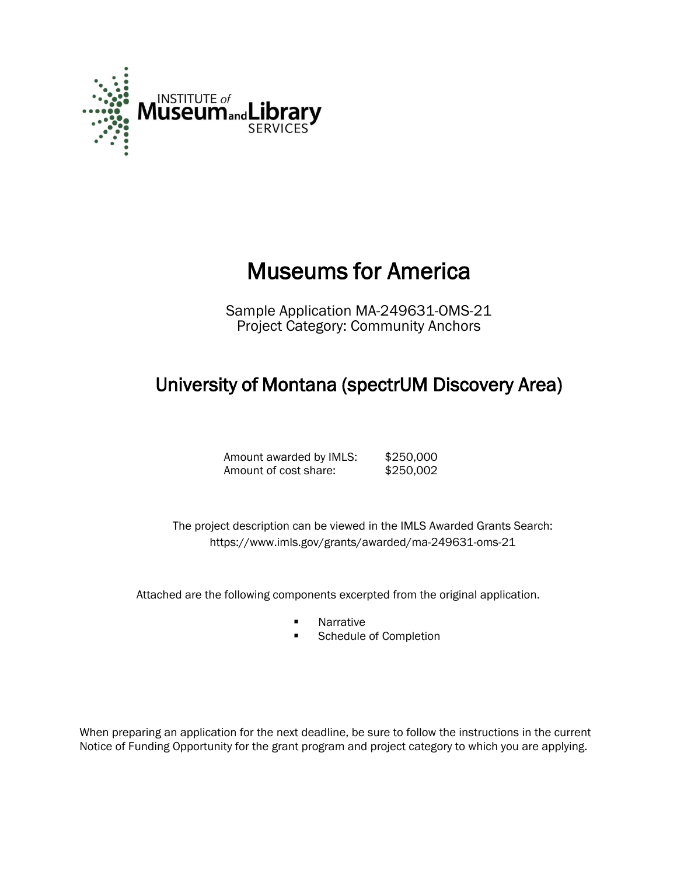

# Museums for America

Sample Application MA-249631-OMS-21 Project Category: Community Anchors

# University of Montana (spectrUM Discovery Area)

Amount awarded by IMLS: \$250,000 Amount of cost share: \$250,002

The project description can be viewed in the IMLS Awarded Grants Search: <https://www.imls.gov/grants/awarded/ma-249631-oms-21>

Attached are the following components excerpted from the original application.

- **Narrative**
- **EXECUTE:** Schedule of Completion

When preparing an application for the next deadline, be sure to follow the instructions in the current Notice of Funding Opportunity for the grant program and project category to which you are applying.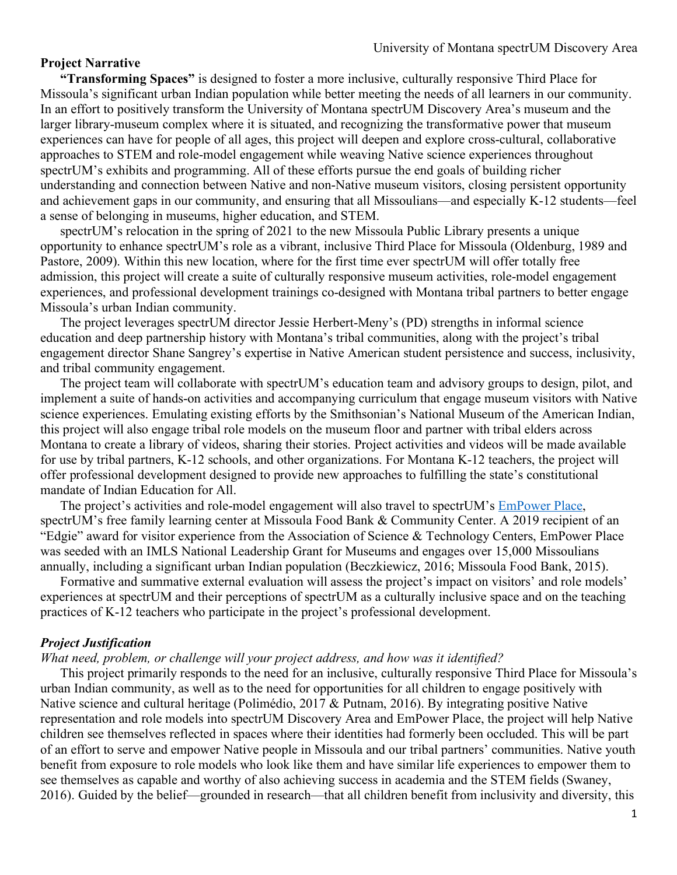#### **Project Narrative**

**"Transforming Spaces"** is designed to foster a more inclusive, culturally responsive Third Place for Missoula's significant urban Indian population while better meeting the needs of all learners in our community. In an effort to positively transform the University of Montana spectrUM Discovery Area's museum and the larger library-museum complex where it is situated, and recognizing the transformative power that museum experiences can have for people of all ages, this project will deepen and explore cross-cultural, collaborative approaches to STEM and role-model engagement while weaving Native science experiences throughout spectrUM's exhibits and programming. All of these efforts pursue the end goals of building richer understanding and connection between Native and non-Native museum visitors, closing persistent opportunity and achievement gaps in our community, and ensuring that all Missoulians—and especially K-12 students—feel a sense of belonging in museums, higher education, and STEM.

spectrUM's relocation in the spring of 2021 to the new Missoula Public Library presents a unique opportunity to enhance spectrUM's role as a vibrant, inclusive Third Place for Missoula (Oldenburg, 1989 and Pastore, 2009). Within this new location, where for the first time ever spectrUM will offer totally free admission, this project will create a suite of culturally responsive museum activities, role-model engagement experiences, and professional development trainings co-designed with Montana tribal partners to better engage Missoula's urban Indian community.

The project leverages spectrUM director Jessie Herbert-Meny's (PD) strengths in informal science education and deep partnership history with Montana's tribal communities, along with the project's tribal engagement director Shane Sangrey's expertise in Native American student persistence and success, inclusivity, and tribal community engagement.

The project team will collaborate with spectrUM's education team and advisory groups to design, pilot, and implement a suite of hands-on activities and accompanying curriculum that engage museum visitors with Native science experiences. Emulating existing efforts by the Smithsonian's National Museum of the American Indian, this project will also engage tribal role models on the museum floor and partner with tribal elders across Montana to create a library of videos, sharing their stories. Project activities and videos will be made available for use by tribal partners, K-12 schools, and other organizations. For Montana K-12 teachers, the project will offer professional development designed to provide new approaches to fulfilling the state's constitutional mandate of Indian Education for All.

The project's activities and role-model engagement will also travel to spectrUM's EmPower Place, spectrUM's free family learning center at Missoula Food Bank & Community Center. A 2019 recipient of an "Edgie" award for visitor experience from the Association of Science & Technology Centers, EmPower Place was seeded with an IMLS National Leadership Grant for Museums and engages over 15,000 Missoulians annually, including a significant urban Indian population (Beczkiewicz, 2016; Missoula Food Bank, 2015).

Formative and summative external evaluation will assess the project's impact on visitors' and role models' experiences at spectrUM and their perceptions of spectrUM as a culturally inclusive space and on the teaching practices of K-12 teachers who participate in the project's professional development.

#### *Project Justification*

#### *What need, problem, or challenge will your project address, and how was it identified?*

This project primarily responds to the need for an inclusive, culturally responsive Third Place for Missoula's urban Indian community, as well as to the need for opportunities for all children to engage positively with Native science and cultural heritage (Polimédio, 2017 & Putnam, 2016). By integrating positive Native representation and role models into spectrUM Discovery Area and EmPower Place, the project will help Native children see themselves reflected in spaces where their identities had formerly been occluded. This will be part of an effort to serve and empower Native people in Missoula and our tribal partners' communities. Native youth benefit from exposure to role models who look like them and have similar life experiences to empower them to see themselves as capable and worthy of also achieving success in academia and the STEM fields (Swaney, 2016). Guided by the belief—grounded in research—that all children benefit from inclusivity and diversity, this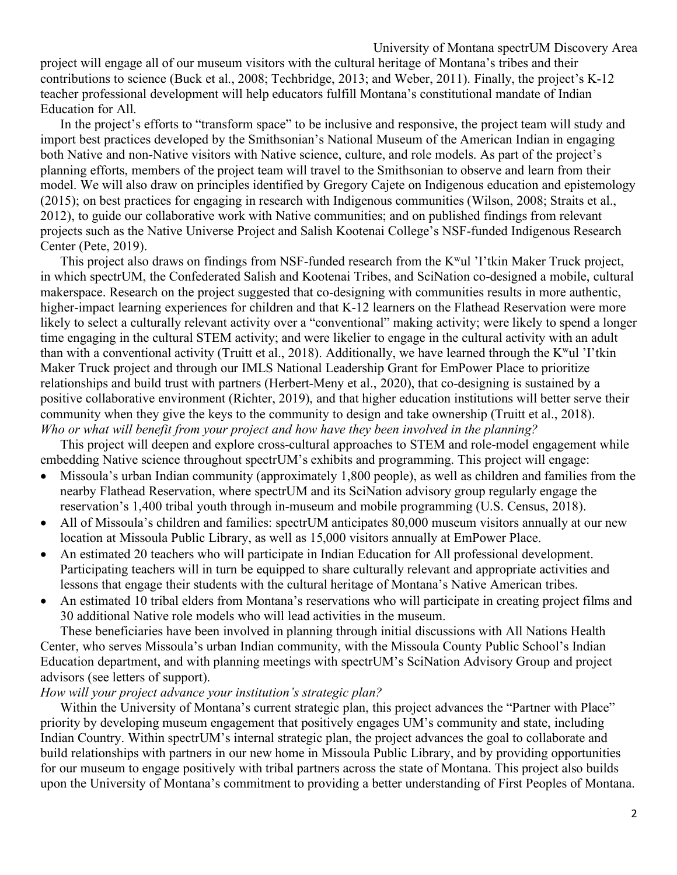project will engage all of our museum visitors with the cultural heritage of Montana's tribes and their contributions to science (Buck et al., 2008; Techbridge, 2013; and Weber, 2011). Finally, the project's K-12 teacher professional development will help educators fulfill Montana's constitutional mandate of Indian Education for All.

In the project's efforts to "transform space" to be inclusive and responsive, the project team will study and import best practices developed by the Smithsonian's National Museum of the American Indian in engaging both Native and non-Native visitors with Native science, culture, and role models. As part of the project's planning efforts, members of the project team will travel to the Smithsonian to observe and learn from their model. We will also draw on principles identified by Gregory Cajete on Indigenous education and epistemology (2015); on best practices for engaging in research with Indigenous communities (Wilson, 2008; Straits et al., 2012), to guide our collaborative work with Native communities; and on published findings from relevant projects such as the Native Universe Project and Salish Kootenai College's NSF-funded Indigenous Research Center (Pete, 2019).

This project also draws on findings from NSF-funded research from the K<sup>w</sup>ul 'I'tkin Maker Truck project, in which spectrUM, the Confederated Salish and Kootenai Tribes, and SciNation co-designed a mobile, cultural makerspace. Research on the project suggested that co-designing with communities results in more authentic, higher-impact learning experiences for children and that K-12 learners on the Flathead Reservation were more likely to select a culturally relevant activity over a "conventional" making activity; were likely to spend a longer time engaging in the cultural STEM activity; and were likelier to engage in the cultural activity with an adult than with a conventional activity (Truitt et al., 2018). Additionally, we have learned through the  $K^wul$  'I'tkin Maker Truck project and through our IMLS National Leadership Grant for EmPower Place to prioritize relationships and build trust with partners (Herbert-Meny et al., 2020), that co-designing is sustained by a positive collaborative environment (Richter, 2019), and that higher education institutions will better serve their community when they give the keys to the community to design and take ownership (Truitt et al., 2018). *Who or what will benefit from your project and how have they been involved in the planning?*

This project will deepen and explore cross-cultural approaches to STEM and role-model engagement while embedding Native science throughout spectrUM's exhibits and programming. This project will engage:

- Missoula's urban Indian community (approximately 1,800 people), as well as children and families from the nearby Flathead Reservation, where spectrUM and its SciNation advisory group regularly engage the reservation's 1,400 tribal youth through in-museum and mobile programming (U.S. Census, 2018).
- All of Missoula's children and families: spectrUM anticipates 80,000 museum visitors annually at our new location at Missoula Public Library, as well as 15,000 visitors annually at EmPower Place.
- An estimated 20 teachers who will participate in Indian Education for All professional development. Participating teachers will in turn be equipped to share culturally relevant and appropriate activities and lessons that engage their students with the cultural heritage of Montana's Native American tribes.
- An estimated 10 tribal elders from Montana's reservations who will participate in creating project films and 30 additional Native role models who will lead activities in the museum.

These beneficiaries have been involved in planning through initial discussions with All Nations Health Center, who serves Missoula's urban Indian community, with the Missoula County Public School's Indian Education department, and with planning meetings with spectrUM's SciNation Advisory Group and project advisors (see letters of support).

#### *How will your project advance your institution's strategic plan?*

Within the University of Montana's current strategic plan, this project advances the "Partner with Place" priority by developing museum engagement that positively engages UM's community and state, including Indian Country. Within spectrUM's internal strategic plan, the project advances the goal to collaborate and build relationships with partners in our new home in Missoula Public Library, and by providing opportunities for our museum to engage positively with tribal partners across the state of Montana. This project also builds upon the University of Montana's commitment to providing a better understanding of First Peoples of Montana.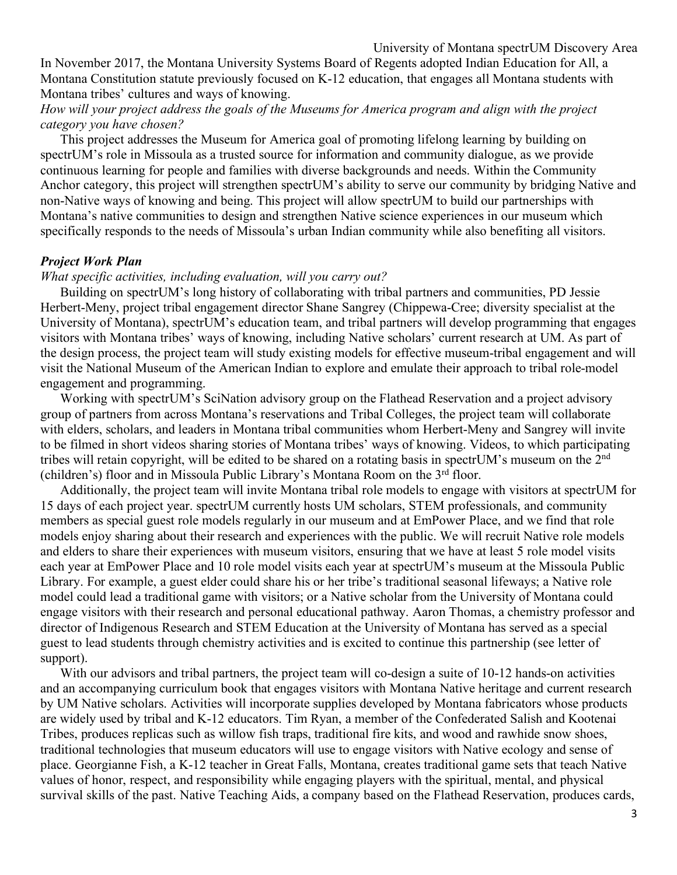#### University of Montana spectrUM Discovery Area

In November 2017, the Montana University Systems Board of Regents adopted Indian Education for All, a Montana Constitution statute previously focused on K-12 education, that engages all Montana students with Montana tribes' cultures and ways of knowing.

# *How will your project address the goals of the Museums for America program and align with the project category you have chosen?*

This project addresses the Museum for America goal of promoting lifelong learning by building on spectrUM's role in Missoula as a trusted source for information and community dialogue, as we provide continuous learning for people and families with diverse backgrounds and needs. Within the Community Anchor category, this project will strengthen spectrUM's ability to serve our community by bridging Native and non-Native ways of knowing and being. This project will allow spectrUM to build our partnerships with Montana's native communities to design and strengthen Native science experiences in our museum which specifically responds to the needs of Missoula's urban Indian community while also benefiting all visitors.

#### *Project Work Plan*

#### *What specific activities, including evaluation, will you carry out?*

Building on spectrUM's long history of collaborating with tribal partners and communities, PD Jessie Herbert-Meny, project tribal engagement director Shane Sangrey (Chippewa-Cree; diversity specialist at the University of Montana), spectrUM's education team, and tribal partners will develop programming that engages visitors with Montana tribes' ways of knowing, including Native scholars' current research at UM. As part of the design process, the project team will study existing models for effective museum-tribal engagement and will visit the National Museum of the American Indian to explore and emulate their approach to tribal role-model engagement and programming.

Working with spectrUM's SciNation advisory group on the Flathead Reservation and a project advisory group of partners from across Montana's reservations and Tribal Colleges, the project team will collaborate with elders, scholars, and leaders in Montana tribal communities whom Herbert-Meny and Sangrey will invite to be filmed in short videos sharing stories of Montana tribes' ways of knowing. Videos, to which participating tribes will retain copyright, will be edited to be shared on a rotating basis in spectrUM's museum on the 2nd (children's) floor and in Missoula Public Library's Montana Room on the 3rd floor.

Additionally, the project team will invite Montana tribal role models to engage with visitors at spectrUM for 15 days of each project year. spectrUM currently hosts UM scholars, STEM professionals, and community members as special guest role models regularly in our museum and at EmPower Place, and we find that role models enjoy sharing about their research and experiences with the public. We will recruit Native role models and elders to share their experiences with museum visitors, ensuring that we have at least 5 role model visits each year at EmPower Place and 10 role model visits each year at spectrUM's museum at the Missoula Public Library. For example, a guest elder could share his or her tribe's traditional seasonal lifeways; a Native role model could lead a traditional game with visitors; or a Native scholar from the University of Montana could engage visitors with their research and personal educational pathway. Aaron Thomas, a chemistry professor and director of Indigenous Research and STEM Education at the University of Montana has served as a special guest to lead students through chemistry activities and is excited to continue this partnership (see letter of support).

With our advisors and tribal partners, the project team will co-design a suite of 10-12 hands-on activities and an accompanying curriculum book that engages visitors with Montana Native heritage and current research by UM Native scholars. Activities will incorporate supplies developed by Montana fabricators whose products are widely used by tribal and K-12 educators. Tim Ryan, a member of the Confederated Salish and Kootenai Tribes, produces replicas such as willow fish traps, traditional fire kits, and wood and rawhide snow shoes, traditional technologies that museum educators will use to engage visitors with Native ecology and sense of place. Georgianne Fish, a K-12 teacher in Great Falls, Montana, creates traditional game sets that teach Native values of honor, respect, and responsibility while engaging players with the spiritual, mental, and physical survival skills of the past. Native Teaching Aids, a company based on the Flathead Reservation, produces cards,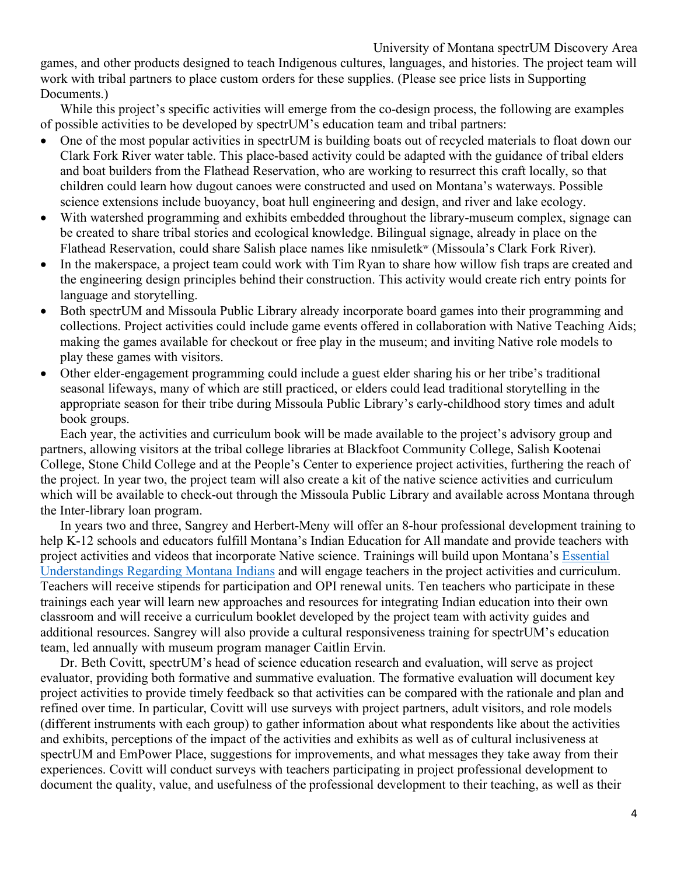### University of Montana spectrUM Discovery Area

games, and other products designed to teach Indigenous cultures, languages, and histories. The project team will work with tribal partners to place custom orders for these supplies. (Please see price lists in Supporting Documents.)

While this project's specific activities will emerge from the co-design process, the following are examples of possible activities to be developed by spectrUM's education team and tribal partners:

- One of the most popular activities in spectrUM is building boats out of recycled materials to float down our Clark Fork River water table. This place-based activity could be adapted with the guidance of tribal elders and boat builders from the Flathead Reservation, who are working to resurrect this craft locally, so that children could learn how dugout canoes were constructed and used on Montana's waterways. Possible science extensions include buoyancy, boat hull engineering and design, and river and lake ecology.
- With watershed programming and exhibits embedded throughout the library-museum complex, signage can be created to share tribal stories and ecological knowledge. Bilingual signage, already in place on the Flathead Reservation, could share Salish place names like nmisuletk<sup>w</sup> (Missoula's Clark Fork River).
- In the makerspace, a project team could work with Tim Ryan to share how willow fish traps are created and the engineering design principles behind their construction. This activity would create rich entry points for language and storytelling.
- Both spectrUM and Missoula Public Library already incorporate board games into their programming and collections. Project activities could include game events offered in collaboration with Native Teaching Aids; making the games available for checkout or free play in the museum; and inviting Native role models to play these games with visitors.
- Other elder-engagement programming could include a guest elder sharing his or her tribe's traditional seasonal lifeways, many of which are still practiced, or elders could lead traditional storytelling in the appropriate season for their tribe during Missoula Public Library's early-childhood story times and adult book groups.

Each year, the activities and curriculum book will be made available to the project's advisory group and partners, allowing visitors at the tribal college libraries at Blackfoot Community College, Salish Kootenai College, Stone Child College and at the People's Center to experience project activities, furthering the reach of the project. In year two, the project team will also create a kit of the native science activities and curriculum which will be available to check-out through the Missoula Public Library and available across Montana through the Inter-library loan program.

In years two and three, Sangrey and Herbert-Meny will offer an 8-hour professional development training to help K-12 schools and educators fulfill Montana's Indian Education for All mandate and provide teachers with project activities and videos that incorporate Native science. Trainings will build upon Montana's Essential Understandings Regarding Montana Indians and will engage teachers in the project activities and curriculum. Teachers will receive stipends for participation and OPI renewal units. Ten teachers who participate in these trainings each year will learn new approaches and resources for integrating Indian education into their own classroom and will receive a curriculum booklet developed by the project team with activity guides and additional resources. Sangrey will also provide a cultural responsiveness training for spectrUM's education team, led annually with museum program manager Caitlin Ervin.

Dr. Beth Covitt, spectrUM's head of science education research and evaluation, will serve as project evaluator, providing both formative and summative evaluation. The formative evaluation will document key project activities to provide timely feedback so that activities can be compared with the rationale and plan and refined over time. In particular, Covitt will use surveys with project partners, adult visitors, and role models (different instruments with each group) to gather information about what respondents like about the activities and exhibits, perceptions of the impact of the activities and exhibits as well as of cultural inclusiveness at spectrUM and EmPower Place, suggestions for improvements, and what messages they take away from their experiences. Covitt will conduct surveys with teachers participating in project professional development to document the quality, value, and usefulness of the professional development to their teaching, as well as their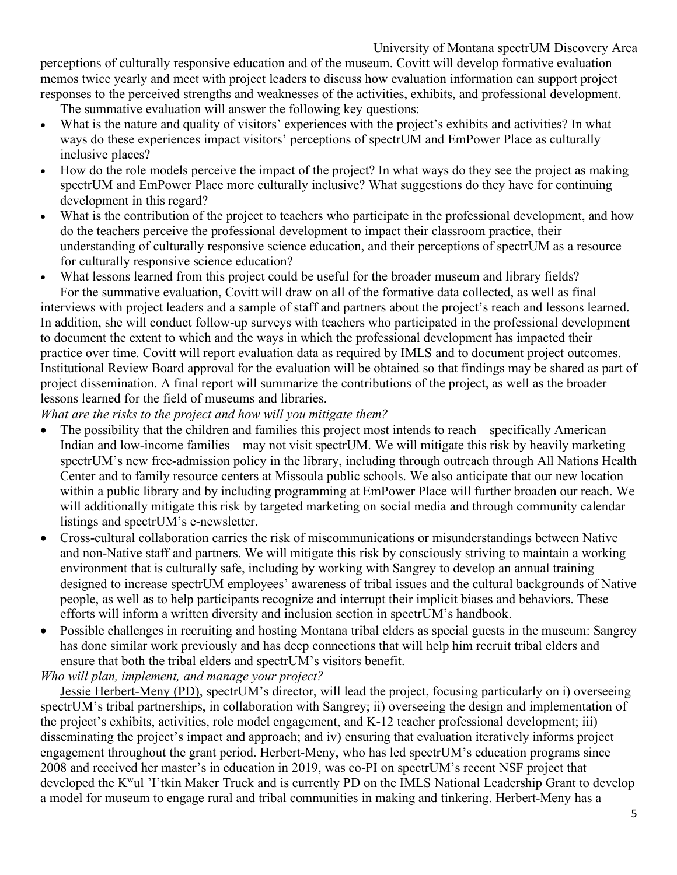perceptions of culturally responsive education and of the museum. Covitt will develop formative evaluation memos twice yearly and meet with project leaders to discuss how evaluation information can support project responses to the perceived strengths and weaknesses of the activities, exhibits, and professional development.

The summative evaluation will answer the following key questions:

- What is the nature and quality of visitors' experiences with the project's exhibits and activities? In what ways do these experiences impact visitors' perceptions of spectrUM and EmPower Place as culturally inclusive places?
- How do the role models perceive the impact of the project? In what ways do they see the project as making spectrUM and EmPower Place more culturally inclusive? What suggestions do they have for continuing development in this regard?
- What is the contribution of the project to teachers who participate in the professional development, and how do the teachers perceive the professional development to impact their classroom practice, their understanding of culturally responsive science education, and their perceptions of spectrUM as a resource for culturally responsive science education?
- What lessons learned from this project could be useful for the broader museum and library fields? For the summative evaluation, Covitt will draw on all of the formative data collected, as well as final

interviews with project leaders and a sample of staff and partners about the project's reach and lessons learned. In addition, she will conduct follow-up surveys with teachers who participated in the professional development to document the extent to which and the ways in which the professional development has impacted their practice over time. Covitt will report evaluation data as required by IMLS and to document project outcomes. Institutional Review Board approval for the evaluation will be obtained so that findings may be shared as part of project dissemination. A final report will summarize the contributions of the project, as well as the broader lessons learned for the field of museums and libraries.

# *What are the risks to the project and how will you mitigate them?*

- The possibility that the children and families this project most intends to reach—specifically American Indian and low-income families—may not visit spectrUM. We will mitigate this risk by heavily marketing spectrUM's new free-admission policy in the library, including through outreach through All Nations Health Center and to family resource centers at Missoula public schools. We also anticipate that our new location within a public library and by including programming at EmPower Place will further broaden our reach. We will additionally mitigate this risk by targeted marketing on social media and through community calendar listings and spectrUM's e-newsletter.
- Cross-cultural collaboration carries the risk of miscommunications or misunderstandings between Native and non-Native staff and partners. We will mitigate this risk by consciously striving to maintain a working environment that is culturally safe, including by working with Sangrey to develop an annual training designed to increase spectrUM employees' awareness of tribal issues and the cultural backgrounds of Native people, as well as to help participants recognize and interrupt their implicit biases and behaviors. These efforts will inform a written diversity and inclusion section in spectrUM's handbook.
- Possible challenges in recruiting and hosting Montana tribal elders as special guests in the museum: Sangrey has done similar work previously and has deep connections that will help him recruit tribal elders and ensure that both the tribal elders and spectrUM's visitors benefit.

# *Who will plan, implement, and manage your project?*

Jessie Herbert-Meny (PD), spectrUM's director, will lead the project, focusing particularly on i) overseeing spectrUM's tribal partnerships, in collaboration with Sangrey; ii) overseeing the design and implementation of the project's exhibits, activities, role model engagement, and K-12 teacher professional development; iii) disseminating the project's impact and approach; and iv) ensuring that evaluation iteratively informs project engagement throughout the grant period. Herbert-Meny, who has led spectrUM's education programs since 2008 and received her master's in education in 2019, was co-PI on spectrUM's recent NSF project that developed the Kwul 'I'tkin Maker Truck and is currently PD on the IMLS National Leadership Grant to develop a model for museum to engage rural and tribal communities in making and tinkering. Herbert-Meny has a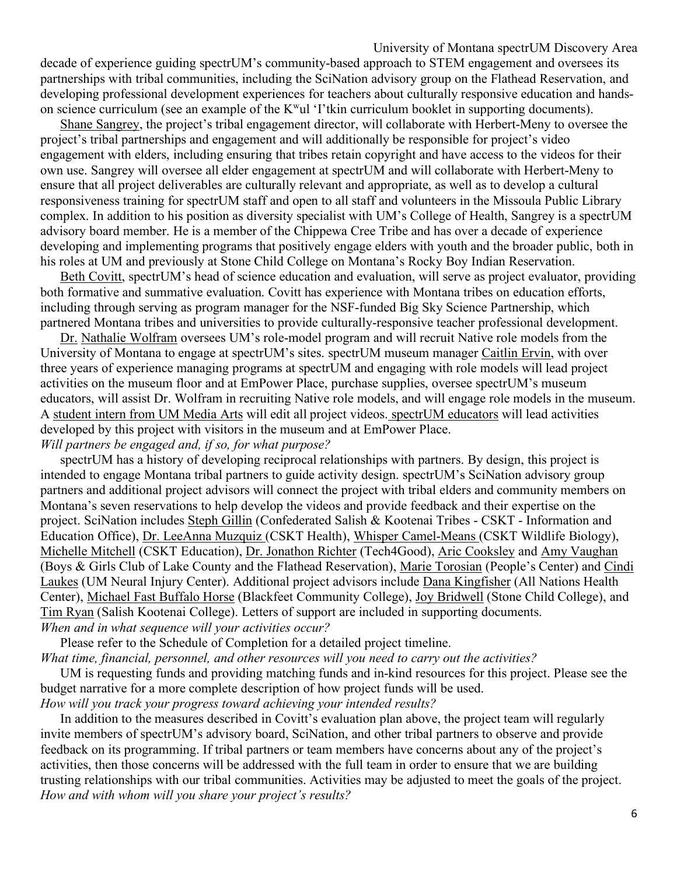## University of Montana spectrUM Discovery Area decade of experience guiding spectrUM's community-based approach to STEM engagement and oversees its partnerships with tribal communities, including the SciNation advisory group on the Flathead Reservation, and developing professional development experiences for teachers about culturally responsive education and handson science curriculum (see an example of the Kwul 'I'tkin curriculum booklet in supporting documents).

Shane Sangrey, the project's tribal engagement director, will collaborate with Herbert-Meny to oversee the project's tribal partnerships and engagement and will additionally be responsible for project's video engagement with elders, including ensuring that tribes retain copyright and have access to the videos for their own use. Sangrey will oversee all elder engagement at spectrUM and will collaborate with Herbert-Meny to ensure that all project deliverables are culturally relevant and appropriate, as well as to develop a cultural responsiveness training for spectrUM staff and open to all staff and volunteers in the Missoula Public Library complex. In addition to his position as diversity specialist with UM's College of Health, Sangrey is a spectrUM advisory board member. He is a member of the Chippewa Cree Tribe and has over a decade of experience developing and implementing programs that positively engage elders with youth and the broader public, both in his roles at UM and previously at Stone Child College on Montana's Rocky Boy Indian Reservation.

Beth Covitt, spectrUM's head of science education and evaluation, will serve as project evaluator, providing both formative and summative evaluation. Covitt has experience with Montana tribes on education efforts, including through serving as program manager for the NSF-funded Big Sky Science Partnership, which partnered Montana tribes and universities to provide culturally-responsive teacher professional development.

Dr. Nathalie Wolfram oversees UM's role-model program and will recruit Native role models from the University of Montana to engage at spectrUM's sites. spectrUM museum manager Caitlin Ervin, with over three years of experience managing programs at spectrUM and engaging with role models will lead project activities on the museum floor and at EmPower Place, purchase supplies, oversee spectrUM's museum educators, will assist Dr. Wolfram in recruiting Native role models, and will engage role models in the museum. A student intern from UM Media Arts will edit all project videos. spectrUM educators will lead activities developed by this project with visitors in the museum and at EmPower Place. *Will partners be engaged and, if so, for what purpose?*

spectrUM has a history of developing reciprocal relationships with partners. By design, this project is intended to engage Montana tribal partners to guide activity design. spectrUM's SciNation advisory group partners and additional project advisors will connect the project with tribal elders and community members on Montana's seven reservations to help develop the videos and provide feedback and their expertise on the project. SciNation includes Steph Gillin (Confederated Salish & Kootenai Tribes - CSKT - Information and Education Office), Dr. LeeAnna Muzquiz (CSKT Health), Whisper Camel-Means (CSKT Wildlife Biology), Michelle Mitchell (CSKT Education), Dr. Jonathon Richter (Tech4Good), Aric Cooksley and Amy Vaughan (Boys & Girls Club of Lake County and the Flathead Reservation), Marie Torosian (People's Center) and Cindi Laukes (UM Neural Injury Center). Additional project advisors include Dana Kingfisher (All Nations Health Center), Michael Fast Buffalo Horse (Blackfeet Community College), Joy Bridwell (Stone Child College), and Tim Ryan (Salish Kootenai College). Letters of support are included in supporting documents. *When and in what sequence will your activities occur?*

Please refer to the Schedule of Completion for a detailed project timeline. *What time, financial, personnel, and other resources will you need to carry out the activities?*

UM is requesting funds and providing matching funds and in-kind resources for this project. Please see the budget narrative for a more complete description of how project funds will be used. *How will you track your progress toward achieving your intended results?*

In addition to the measures described in Covitt's evaluation plan above, the project team will regularly invite members of spectrUM's advisory board, SciNation, and other tribal partners to observe and provide feedback on its programming. If tribal partners or team members have concerns about any of the project's activities, then those concerns will be addressed with the full team in order to ensure that we are building trusting relationships with our tribal communities. Activities may be adjusted to meet the goals of the project. *How and with whom will you share your project's results?*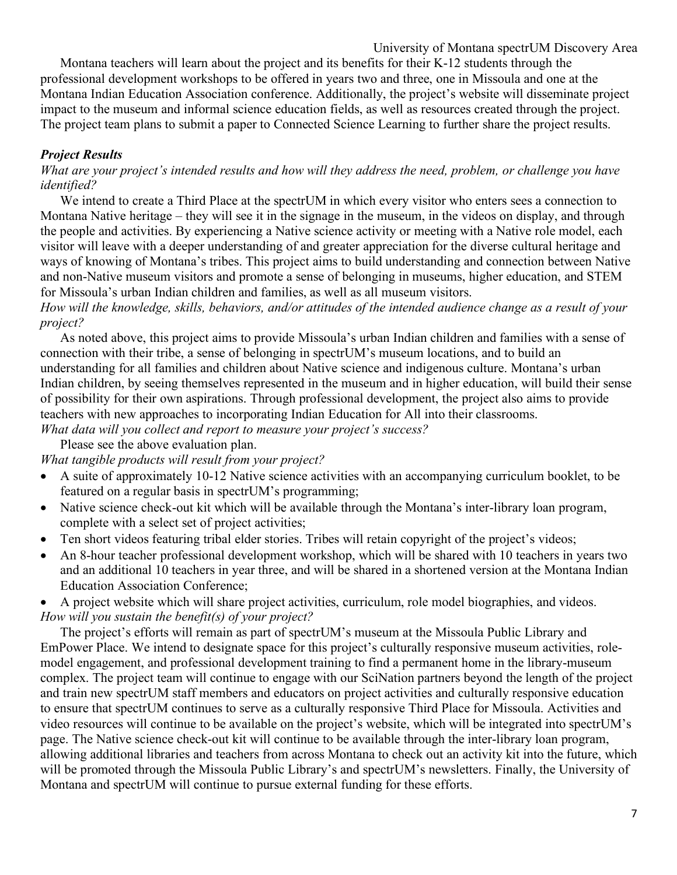University of Montana spectrUM Discovery Area

Montana teachers will learn about the project and its benefits for their K-12 students through the professional development workshops to be offered in years two and three, one in Missoula and one at the Montana Indian Education Association conference. Additionally, the project's website will disseminate project impact to the museum and informal science education fields, as well as resources created through the project. The project team plans to submit a paper to Connected Science Learning to further share the project results.

# *Project Results*

*What are your project's intended results and how will they address the need, problem, or challenge you have identified?*

We intend to create a Third Place at the spectrUM in which every visitor who enters sees a connection to Montana Native heritage – they will see it in the signage in the museum, in the videos on display, and through the people and activities. By experiencing a Native science activity or meeting with a Native role model, each visitor will leave with a deeper understanding of and greater appreciation for the diverse cultural heritage and ways of knowing of Montana's tribes. This project aims to build understanding and connection between Native and non-Native museum visitors and promote a sense of belonging in museums, higher education, and STEM for Missoula's urban Indian children and families, as well as all museum visitors.

*How will the knowledge, skills, behaviors, and/or attitudes of the intended audience change as a result of your project?*

As noted above, this project aims to provide Missoula's urban Indian children and families with a sense of connection with their tribe, a sense of belonging in spectrUM's museum locations, and to build an understanding for all families and children about Native science and indigenous culture. Montana's urban Indian children, by seeing themselves represented in the museum and in higher education, will build their sense of possibility for their own aspirations. Through professional development, the project also aims to provide teachers with new approaches to incorporating Indian Education for All into their classrooms.

*What data will you collect and report to measure your project's success?* 

Please see the above evaluation plan.

*What tangible products will result from your project?* 

- A suite of approximately 10-12 Native science activities with an accompanying curriculum booklet, to be featured on a regular basis in spectrUM's programming;
- Native science check-out kit which will be available through the Montana's inter-library loan program, complete with a select set of project activities;
- Ten short videos featuring tribal elder stories. Tribes will retain copyright of the project's videos;
- An 8-hour teacher professional development workshop, which will be shared with 10 teachers in years two and an additional 10 teachers in year three, and will be shared in a shortened version at the Montana Indian Education Association Conference;
- A project website which will share project activities, curriculum, role model biographies, and videos. *How will you sustain the benefit(s) of your project?*

The project's efforts will remain as part of spectrUM's museum at the Missoula Public Library and EmPower Place. We intend to designate space for this project's culturally responsive museum activities, rolemodel engagement, and professional development training to find a permanent home in the library-museum complex. The project team will continue to engage with our SciNation partners beyond the length of the project and train new spectrUM staff members and educators on project activities and culturally responsive education to ensure that spectrUM continues to serve as a culturally responsive Third Place for Missoula. Activities and video resources will continue to be available on the project's website, which will be integrated into spectrUM's page. The Native science check-out kit will continue to be available through the inter-library loan program, allowing additional libraries and teachers from across Montana to check out an activity kit into the future, which will be promoted through the Missoula Public Library's and spectrUM's newsletters. Finally, the University of Montana and spectrUM will continue to pursue external funding for these efforts.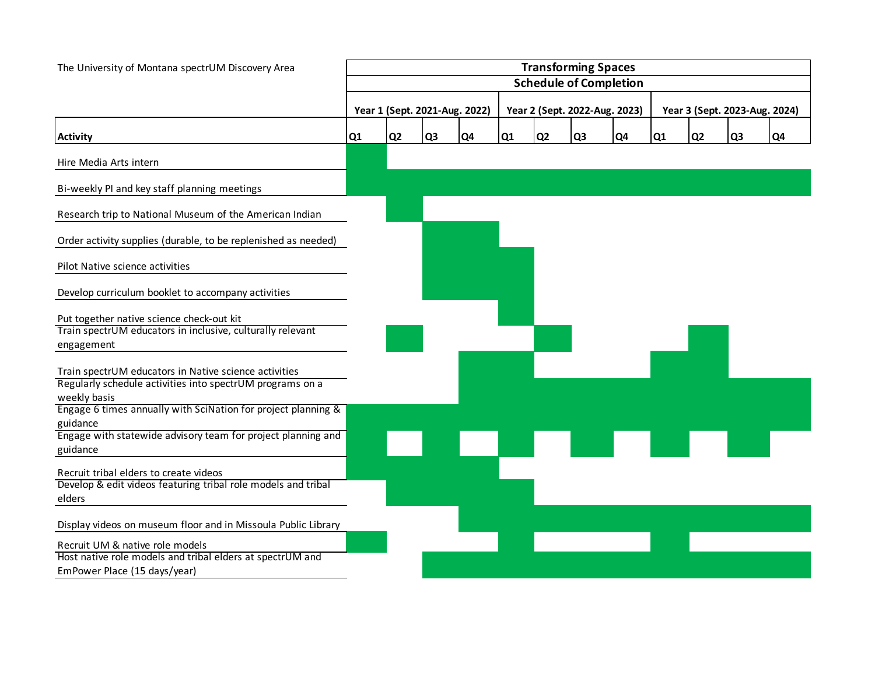| The University of Montana spectrUM Discovery Area                                                                                                                                                               | <b>Transforming Spaces</b>    |                |                               |    |                |                |                               |                |                               |                |                |                |
|-----------------------------------------------------------------------------------------------------------------------------------------------------------------------------------------------------------------|-------------------------------|----------------|-------------------------------|----|----------------|----------------|-------------------------------|----------------|-------------------------------|----------------|----------------|----------------|
|                                                                                                                                                                                                                 | <b>Schedule of Completion</b> |                |                               |    |                |                |                               |                |                               |                |                |                |
|                                                                                                                                                                                                                 |                               |                | Year 1 (Sept. 2021-Aug. 2022) |    |                |                | Year 2 (Sept. 2022-Aug. 2023) |                | Year 3 (Sept. 2023-Aug. 2024) |                |                |                |
| <b>Activity</b>                                                                                                                                                                                                 | Q1                            | Q <sub>2</sub> | Q <sub>3</sub>                | Q4 | Q <sub>1</sub> | Q <sub>2</sub> | Q <sub>3</sub>                | Q <sub>4</sub> | Q1                            | Q <sub>2</sub> | Q <sub>3</sub> | Q <sub>4</sub> |
| Hire Media Arts intern                                                                                                                                                                                          |                               |                |                               |    |                |                |                               |                |                               |                |                |                |
| Bi-weekly PI and key staff planning meetings                                                                                                                                                                    |                               |                |                               |    |                |                |                               |                |                               |                |                |                |
| Research trip to National Museum of the American Indian                                                                                                                                                         |                               |                |                               |    |                |                |                               |                |                               |                |                |                |
| Order activity supplies (durable, to be replenished as needed)                                                                                                                                                  |                               |                |                               |    |                |                |                               |                |                               |                |                |                |
| Pilot Native science activities                                                                                                                                                                                 |                               |                |                               |    |                |                |                               |                |                               |                |                |                |
| Develop curriculum booklet to accompany activities                                                                                                                                                              |                               |                |                               |    |                |                |                               |                |                               |                |                |                |
| Put together native science check-out kit<br>Train spectrUM educators in inclusive, culturally relevant<br>engagement                                                                                           |                               |                |                               |    |                |                |                               |                |                               |                |                |                |
| Train spectrUM educators in Native science activities<br>Regularly schedule activities into spectrUM programs on a<br>weekly basis<br>Engage 6 times annually with SciNation for project planning &<br>guidance |                               |                |                               |    |                |                |                               |                |                               |                |                |                |
| Engage with statewide advisory team for project planning and<br>guidance                                                                                                                                        |                               |                |                               |    |                |                |                               |                |                               |                |                |                |
| Recruit tribal elders to create videos<br>Develop & edit videos featuring tribal role models and tribal<br>elders                                                                                               |                               |                |                               |    |                |                |                               |                |                               |                |                |                |
| Display videos on museum floor and in Missoula Public Library                                                                                                                                                   |                               |                |                               |    |                |                |                               |                |                               |                |                |                |
| Recruit UM & native role models<br>Host native role models and tribal elders at spectrUM and<br>EmPower Place (15 days/year)                                                                                    |                               |                |                               |    |                |                |                               |                |                               |                |                |                |